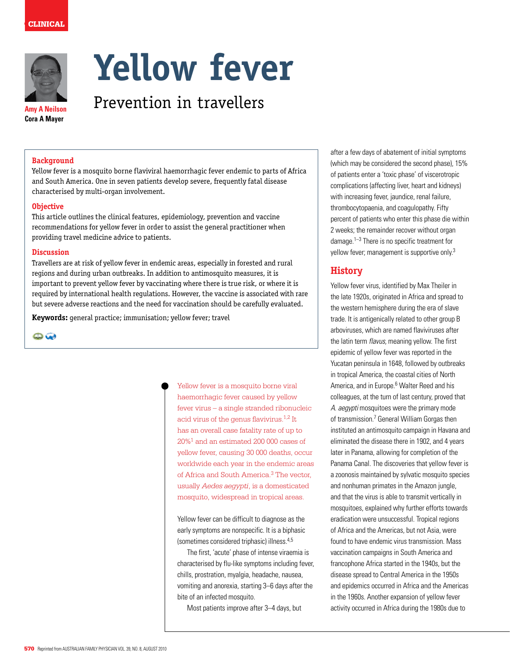

**Amy A Neilson Cora A Mayer**

# **Yellow fever**

Prevention in travellers

### **Background**

Yellow fever is a mosquito borne flaviviral haemorrhagic fever endemic to parts of Africa and South America. One in seven patients develop severe, frequently fatal disease characterised by multi-organ involvement.

### **Objective**

This article outlines the clinical features, epidemiology, prevention and vaccine recommendations for yellow fever in order to assist the general practitioner when providing travel medicine advice to patients.

### **Discussion**

Travellers are at risk of yellow fever in endemic areas, especially in forested and rural regions and during urban outbreaks. In addition to antimosquito measures, it is important to prevent yellow fever by vaccinating where there is true risk, or where it is required by international health regulations. However, the vaccine is associated with rare but severe adverse reactions and the need for vaccination should be carefully evaluated.

**Keywords:** general practice; immunisation; yellow fever; travel

 $\bigoplus$ 

Yellow fever is a mosquito borne viral haemorrhagic fever caused by yellow fever virus – a single stranded ribonucleic acid virus of the genus flavivirus.1,2 It has an overall case fatality rate of up to 20%1 and an estimated 200 000 cases of yellow fever, causing 30 000 deaths, occur worldwide each year in the endemic areas of Africa and South America.<sup>3</sup> The vector, usually *Aedes aegypti*, is a domesticated mosquito, widespread in tropical areas.

Yellow fever can be difficult to diagnose as the early symptoms are nonspecific. It is a biphasic (sometimes considered triphasic) illness.4,5

The first, 'acute' phase of intense viraemia is characterised by flu-like symptoms including fever, chills, prostration, myalgia, headache, nausea, vomiting and anorexia, starting 3–6 days after the bite of an infected mosquito.

Most patients improve after 3–4 days, but

after a few days of abatement of initial symptoms (which may be considered the second phase), 15% of patients enter a 'toxic phase' of viscerotropic complications (affecting liver, heart and kidneys) with increasing fever, jaundice, renal failure, thrombocytopaenia, and coagulopathy. Fifty percent of patients who enter this phase die within 2 weeks; the remainder recover without organ damage.1–3 There is no specific treatment for yellow fever; management is supportive only.<sup>3</sup>

# **History**

Yellow fever virus, identified by Max Theiler in the late 1920s, originated in Africa and spread to the western hemisphere during the era of slave trade. It is antigenically related to other group B arboviruses, which are named flaviviruses after the latin term flavus, meaning yellow. The first epidemic of yellow fever was reported in the Yucatan peninsula in 1648, followed by outbreaks in tropical America, the coastal cities of North America, and in Europe.<sup>6</sup> Walter Reed and his colleagues, at the turn of last century, proved that A. *aegypti* mosquitoes were the primary mode of transmission.<sup>7</sup> General William Gorgas then instituted an antimosquito campaign in Havana and eliminated the disease there in 1902, and 4 years later in Panama, allowing for completion of the Panama Canal. The discoveries that yellow fever is a zoonosis maintained by sylvatic mosquito species and nonhuman primates in the Amazon jungle, and that the virus is able to transmit vertically in mosquitoes, explained why further efforts towards eradication were unsuccessful. Tropical regions of Africa and the Americas, but not Asia, were found to have endemic virus transmission. Mass vaccination campaigns in South America and francophone Africa started in the 1940s, but the disease spread to Central America in the 1950s and epidemics occurred in Africa and the Americas in the 1960s. Another expansion of yellow fever activity occurred in Africa during the 1980s due to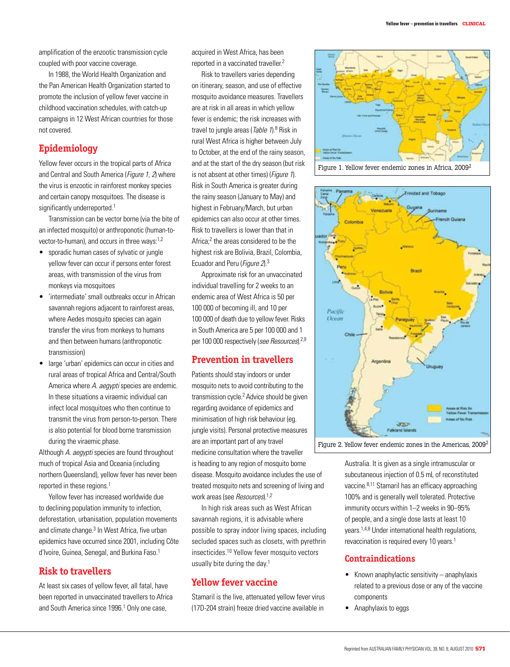amplification of the enzootic transmission cycle coupled with poor vaccine coverage.

In 1988, the World Health Organization and the Pan American Health Organization started to promote the inclusion of yellow fever vaccine in childhood vaccination schedules, with catch-up campaigns in 12 West African countries for those not covered.

# **Epidemiology**

Yellow fever occurs in the tropical parts of Africa and Central and South America (Figure 1, 2) where the virus is enzootic in rainforest monkey species and certain canopy mosquitoes. The disease is significantly underreported.<sup>1</sup>

Transmission can be vector borne (via the bite of an infected mosquito) or anthroponotic (human-tovector-to-human), and occurs in three ways:1,2

- • sporadic human cases of sylvatic or jungle yellow fever can occur if persons enter forest areas, with transmission of the virus from monkeys via mosquitoes
- 'intermediate' small outbreaks occur in African savannah regions adjacent to rainforest areas, where Aedes mosquito species can again transfer the virus from monkeys to humans and then between humans (anthroponotic transmission)
- large 'urban' epidemics can occur in cities and rural areas of tropical Africa and Central/South America where A. aegypti species are endemic. In these situations a viraemic individual can infect local mosquitoes who then continue to transmit the virus from person-to-person. There is also potential for blood borne transmission during the viraemic phase.

Although A. aegypti species are found throughout much of tropical Asia and Oceania (including northern Queensland), yellow fever has never been reported in these regions.<sup>1</sup>

Yellow fever has increased worldwide due to declining population immunity to infection, deforestation, urbanisation, population movements and climate change.<sup>3</sup> In West Africa, five urban epidemics have occurred since 2001, including Côte d'Ivoire, Guinea, Senegal, and Burkina Faso.<sup>1</sup>

# **Risk to travellers**

At least six cases of yellow fever, all fatal, have been reported in unvaccinated travellers to Africa and South America since 1996.<sup>1</sup> Only one case,

acquired in West Africa, has been reported in a vaccinated traveller.2

Risk to travellers varies depending on itinerary, season, and use of effective mosquito avoidance measures. Travellers are at risk in all areas in which yellow fever is endemic; the risk increases with travel to jungle areas (Table 1).<sup>8</sup> Risk in rural West Africa is higher between July to October, at the end of the rainy season, and at the start of the dry season (but risk is not absent at other times) (Figure 1). Risk in South America is greater during the rainy season (January to May) and highest in February/March, but urban epidemics can also occur at other times. Risk to travellers is lower than that in Africa;<sup>2</sup> the areas considered to be the highest risk are Bolivia, Brazil, Colombia, Ecuador and Peru (Figure 2).3

Approximate risk for an unvaccinated individual travelling for 2 weeks to an endemic area of West Africa is 50 per 100 000 of becoming ill, and 10 per 100 000 of death due to yellow fever. Risks in South America are 5 per 100 000 and 1 per 100 000 respectively (see Resources).<sup>2,9</sup>

## **Prevention in travellers**

Patients should stay indoors or under mosquito nets to avoid contributing to the transmission cycle.<sup>2</sup> Advice should be given regarding avoidance of epidemics and minimisation of high risk behaviour (eg. jungle visits). Personal protective measures are an important part of any travel medicine consultation where the traveller is heading to any region of mosquito borne disease. Mosquito avoidance includes the use of treated mosquito nets and screening of living and work areas (see Resources).<sup>1,2</sup>

In high risk areas such as West African savannah regions, it is advisable where possible to spray indoor living spaces, including secluded spaces such as closets, with pyrethrin insecticides.10 Yellow fever mosquito vectors usually bite during the day.<sup>1</sup>

# **Yellow fever vaccine**

Stamaril is the live, attenuated yellow fever virus (17D-204 strain) freeze dried vaccine available in







Australia. It is given as a single intramuscular or subcutaneous injection of 0.5 mL of reconstituted vaccine.8,11 Stamaril has an efficacy approaching 100% and is generally well tolerated. Protective immunity occurs within 1–2 weeks in 90–95% of people, and a single dose lasts at least 10 years.1,4,8 Under international health regulations, revaccination is required every 10 years.<sup>1</sup>

# **Contraindications**

- $\bullet$  Known anaphylactic sensitivity anaphylaxis related to a previous dose or any of the vaccine components
- • Anaphylaxis to eggs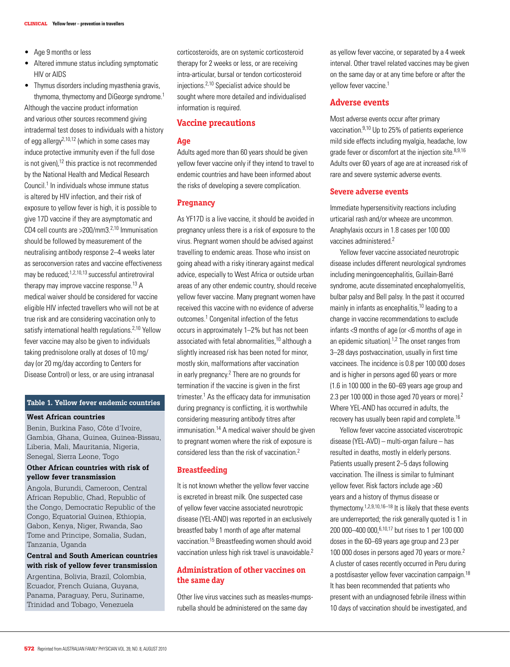- Age 9 months or less
- Altered immune status including symptomatic HIV or AIDS
- Thymus disorders including myasthenia gravis. thymoma, thymectomy and DiGeorge syndrome.<sup>1</sup>

Although the vaccine product information and various other sources recommend giving intradermal test doses to individuals with a history of egg allergy<sup>2,10,12</sup> (which in some cases may induce protective immunity even if the full dose is not given), $12$  this practice is not recommended by the National Health and Medical Research Council.<sup>1</sup> In individuals whose immune status is altered by HIV infection, and their risk of exposure to yellow fever is high, it is possible to give 17D vaccine if they are asymptomatic and CD4 cell counts are >200/mm3.2,10 Immunisation should be followed by measurement of the neutralising antibody response 2–4 weeks later as seroconversion rates and vaccine effectiveness may be reduced:<sup>1,2,10,13</sup> successful antiretroviral therapy may improve vaccine response.<sup>13</sup> A medical waiver should be considered for vaccine eligible HIV infected travellers who will not be at true risk and are considering vaccination only to satisfy international health regulations.<sup>2,10</sup> Yellow fever vaccine may also be given to individuals taking prednisolone orally at doses of 10 mg/ day (or 20 mg/day according to Centers for Disease Control) or less, or are using intranasal

### **Table 1. Yellow fever endemic countries**

### **West African countries**

Benin, Burkina Faso, Côte d'Ivoire, Gambia, Ghana, Guinea, Guinea-Bissau, Liberia, Mali, Mauritania, Nigeria, Senegal, Sierra Leone, Togo

# **Other African countries with risk of yellow fever transmission**

Angola, Burundi, Cameroon, Central African Republic, Chad, Republic of the Congo, Democratic Republic of the Congo, Equatorial Guinea, Ethiopia, Gabon, Kenya, Niger, Rwanda, Sao Tome and Principe, Somalia, Sudan, Tanzania, Uganda

### **Central and South American countries with risk of yellow fever transmission**

Argentina, Bolivia, Brazil, Colombia, Ecuador, French Guiana, Guyana, Panama, Paraguay, Peru, Suriname, Trinidad and Tobago, Venezuela

corticosteroids, are on systemic corticosteroid therapy for 2 weeks or less, or are receiving intra-articular, bursal or tendon corticosteroid injections.<sup>2,10</sup> Specialist advice should be sought where more detailed and individualised information is required.

### **Vaccine precautions**

### **Age**

Adults aged more than 60 years should be given yellow fever vaccine only if they intend to travel to endemic countries and have been informed about the risks of developing a severe complication.

### **Pregnancy**

As YF17D is a live vaccine, it should be avoided in pregnancy unless there is a risk of exposure to the virus. Pregnant women should be advised against travelling to endemic areas. Those who insist on going ahead with a risky itinerary against medical advice, especially to West Africa or outside urban areas of any other endemic country, should receive yellow fever vaccine. Many pregnant women have received this vaccine with no evidence of adverse outcomes.<sup>1</sup> Congenital infection of the fetus occurs in approximately 1–2% but has not been associated with fetal abnormalities,<sup>10</sup> although a slightly increased risk has been noted for minor, mostly skin, malformations after vaccination in early pregnancy.<sup>2</sup> There are no grounds for termination if the vaccine is given in the first trimester.1 As the efficacy data for immunisation during pregnancy is conflicting, it is worthwhile considering measuring antibody titres after immunisation.<sup>14</sup> A medical waiver should be given to pregnant women where the risk of exposure is considered less than the risk of vaccination.2

### **Breastfeeding**

It is not known whether the yellow fever vaccine is excreted in breast milk. One suspected case of yellow fever vaccine associated neurotropic disease (YEL-AND) was reported in an exclusively breastfed baby 1 month of age after maternal vaccination.15 Breastfeeding women should avoid vaccination unless high risk travel is unavoidable.<sup>2</sup>

# **Administration of other vaccines on the same day**

Other live virus vaccines such as measles-mumpsrubella should be administered on the same day

as yellow fever vaccine, or separated by a 4 week interval. Other travel related vaccines may be given on the same day or at any time before or after the vellow fever vaccine.<sup>1</sup>

### **Adverse events**

Most adverse events occur after primary vaccination.9,10 Up to 25% of patients experience mild side effects including myalgia, headache, low grade fever or discomfort at the injection site.<sup>8,9,16</sup> Adults over 60 years of age are at increased risk of rare and severe systemic adverse events.

### **Severe adverse events**

Immediate hypersensitivity reactions including urticarial rash and/or wheeze are uncommon. Anaphylaxis occurs in 1.8 cases per 100 000 vaccines administered.2

Yellow fever vaccine associated neurotropic disease includes different neurological syndromes including meningoencephalitis, Guillain-Barré syndrome, acute disseminated encephalomyelitis, bulbar palsy and Bell palsy. In the past it occurred mainly in infants as encephalitis,<sup>10</sup> leading to a change in vaccine recommendations to exclude infants <9 months of age (or <6 months of age in an epidemic situation).1,2 The onset ranges from 3–28 days postvaccination, usually in first time vaccinees. The incidence is 0.8 per 100 000 doses and is higher in persons aged 60 years or more (1.6 in 100 000 in the 60–69 years age group and 2.3 per 100 000 in those aged 70 years or more).2 Where YEL-AND has occurred in adults, the recovery has usually been rapid and complete.16

Yellow fever vaccine associated viscerotropic disease (YEL-AVD) – multi-organ failure – has resulted in deaths, mostly in elderly persons. Patients usually present 2–5 days following vaccination. The illness is similar to fulminant yellow fever. Risk factors include age >60 years and a history of thymus disease or thymectomy.1,2,9,10,16–18 It is likely that these events are underreported; the risk generally quoted is 1 in 200 000–400 000,6,10,17 but rises to 1 per 100 000 doses in the 60–69 years age group and 2.3 per 100 000 doses in persons aged 70 years or more.<sup>2</sup> A cluster of cases recently occurred in Peru during a postdisaster yellow fever vaccination campaign.<sup>18</sup> It has been recommended that patients who present with an undiagnosed febrile illness within 10 days of vaccination should be investigated, and